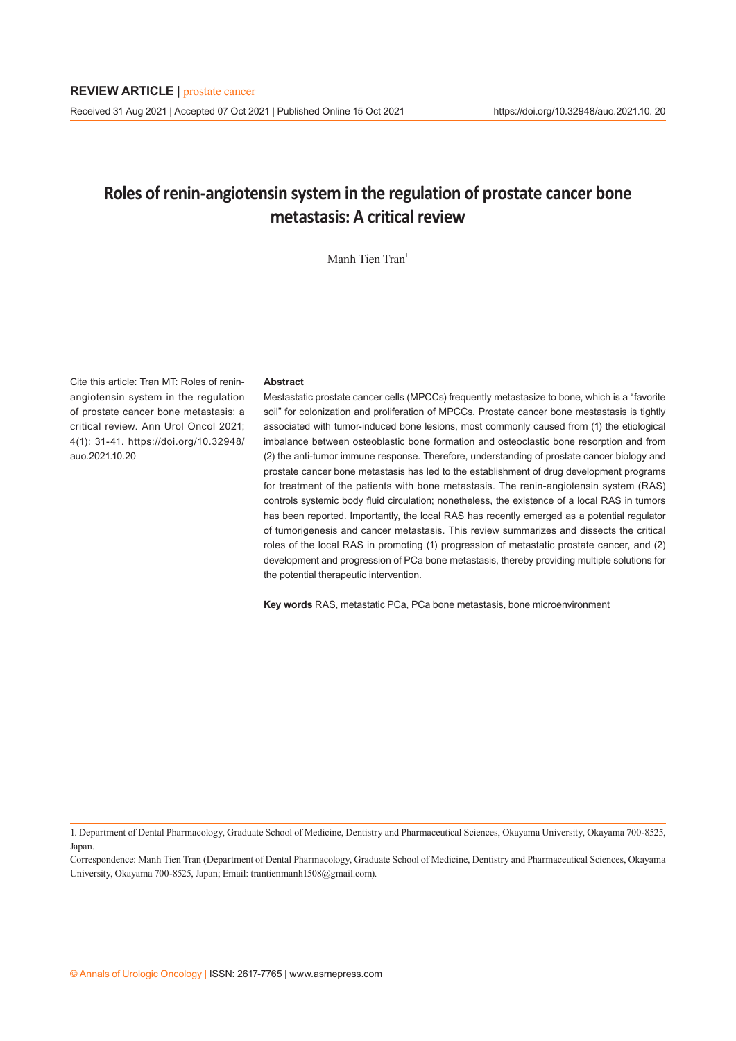# **Roles of renin-angiotensin system in the regulation of prostate cancer bone metastasis: A critical review**

Manh Tien Tran<sup>1</sup>

Cite this article: Tran MT: Roles of reninangiotensin system in the regulation of prostate cancer bone metastasis: a critical review. Ann Urol Oncol 2021; 4(1): 31-41. https://doi.org/10.32948/ auo.2021.10.20

## **Abstract**

Mestastatic prostate cancer cells (MPCCs) frequently metastasize to bone, which is a "favorite soil" for colonization and proliferation of MPCCs. Prostate cancer bone mestastasis is tightly associated with tumor-induced bone lesions, most commonly caused from (1) the etiological imbalance between osteoblastic bone formation and osteoclastic bone resorption and from (2) the anti-tumor immune response. Therefore, understanding of prostate cancer biology and prostate cancer bone metastasis has led to the establishment of drug development programs for treatment of the patients with bone metastasis. The renin-angiotensin system (RAS) controls systemic body fluid circulation; nonetheless, the existence of a local RAS in tumors has been reported. Importantly, the local RAS has recently emerged as a potential regulator of tumorigenesis and cancer metastasis. This review summarizes and dissects the critical roles of the local RAS in promoting (1) progression of metastatic prostate cancer, and (2) development and progression of PCa bone metastasis, thereby providing multiple solutions for the potential therapeutic intervention.

**Key words** RAS, metastatic PCa, PCa bone metastasis, bone microenvironment

Correspondence: Manh Tien Tran (Department of Dental Pharmacology, Graduate School of Medicine, Dentistry and Pharmaceutical Sciences, Okayama University, Okayama 700-8525, Japan; Email: trantienmanh1508@gmail.com).

<sup>1.</sup> Department of Dental Pharmacology, Graduate School of Medicine, Dentistry and Pharmaceutical Sciences, Okayama University, Okayama 700-8525, Japan.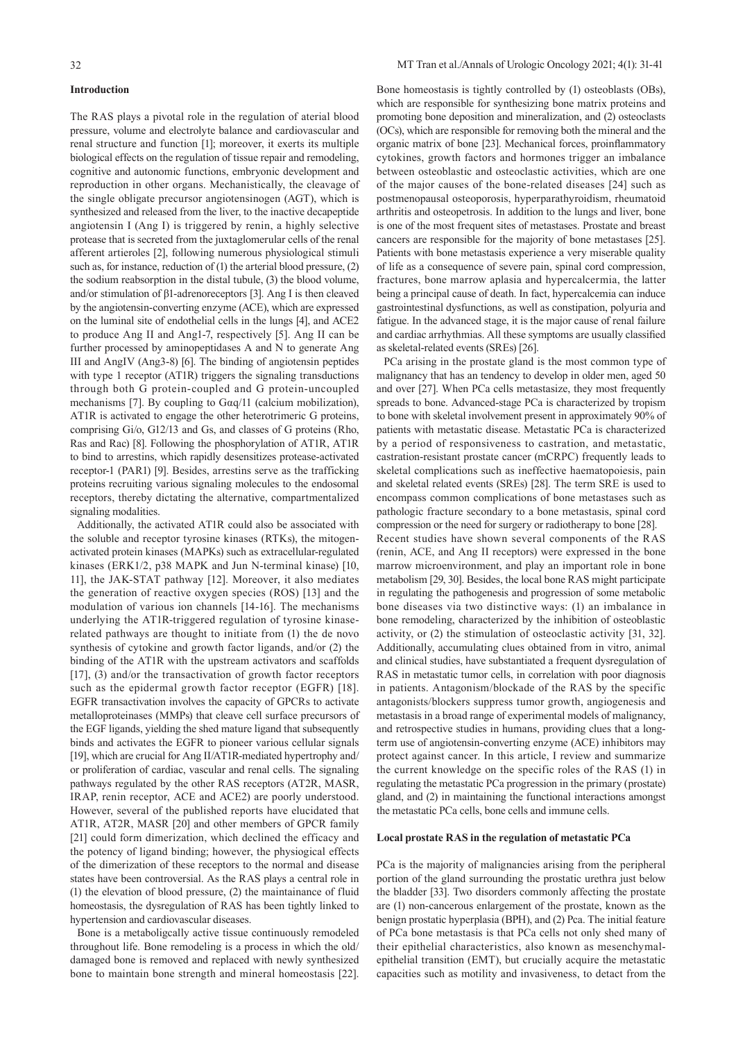## **Introduction**

The RAS plays a pivotal role in the regulation of aterial blood pressure, volume and electrolyte balance and cardiovascular and renal structure and function [1]; moreover, it exerts its multiple biological effects on the regulation of tissue repair and remodeling, cognitive and autonomic functions, embryonic development and reproduction in other organs. Mechanistically, the cleavage of the single obligate precursor angiotensinogen (AGT), which is synthesized and released from the liver, to the inactive decapeptide angiotensin I (Ang I) is triggered by renin, a highly selective protease that is secreted from the juxtaglomerular cells of the renal afferent artieroles [2], following numerous physiological stimuli such as, for instance, reduction of (1) the arterial blood pressure, (2) the sodium reabsorption in the distal tubule, (3) the blood volume, and/or stimulation of β1-adrenoreceptors [3]. Ang I is then cleaved by the angiotensin-converting enzyme (ACE), which are expressed on the luminal site of endothelial cells in the lungs [4], and ACE2 to produce Ang II and Ang1-7, respectively [5]. Ang II can be further processed by aminopeptidases A and N to generate Ang III and AngIV (Ang3-8) [6]. The binding of angiotensin peptides with type 1 receptor (AT1R) triggers the signaling transductions through both G protein-coupled and G protein-uncoupled mechanisms [7]. By coupling to Gαq/11 (calcium mobilization), AT1R is activated to engage the other heterotrimeric G proteins, comprising Gi/o, G12/13 and Gs, and classes of G proteins (Rho, Ras and Rac) [8]. Following the phosphorylation of AT1R, AT1R to bind to arrestins, which rapidly desensitizes protease-activated receptor-1 (PAR1) [9]. Besides, arrestins serve as the trafficking proteins recruiting various signaling molecules to the endosomal receptors, thereby dictating the alternative, compartmentalized signaling modalities.

 Additionally, the activated AT1R could also be associated with the soluble and receptor tyrosine kinases (RTKs), the mitogenactivated protein kinases (MAPKs) such as extracellular-regulated kinases (ERK1/2, p38 MAPK and Jun N-terminal kinase) [10, 11], the JAK-STAT pathway [12]. Moreover, it also mediates the generation of reactive oxygen species (ROS) [13] and the modulation of various ion channels [14-16]. The mechanisms underlying the AT1R-triggered regulation of tyrosine kinaserelated pathways are thought to initiate from (1) the de novo synthesis of cytokine and growth factor ligands, and/or (2) the binding of the AT1R with the upstream activators and scaffolds [17], (3) and/or the transactivation of growth factor receptors such as the epidermal growth factor receptor (EGFR) [18]. EGFR transactivation involves the capacity of GPCRs to activate metalloproteinases (MMPs) that cleave cell surface precursors of the EGF ligands, yielding the shed mature ligand that subsequently binds and activates the EGFR to pioneer various cellular signals [19], which are crucial for Ang II/AT1R-mediated hypertrophy and/ or proliferation of cardiac, vascular and renal cells. The signaling pathways regulated by the other RAS receptors (AT2R, MASR, IRAP, renin receptor, ACE and ACE2) are poorly understood. However, several of the published reports have elucidated that AT1R, AT2R, MASR [20] and other members of GPCR family [21] could form dimerization, which declined the efficacy and the potency of ligand binding; however, the physiogical effects of the dimerization of these receptors to the normal and disease states have been controversial. As the RAS plays a central role in (1) the elevation of blood pressure, (2) the maintainance of fluid homeostasis, the dysregulation of RAS has been tightly linked to hypertension and cardiovascular diseases.

 Bone is a metaboligcally active tissue continuously remodeled throughout life. Bone remodeling is a process in which the old/ damaged bone is removed and replaced with newly synthesized bone to maintain bone strength and mineral homeostasis [22].

Bone homeostasis is tightly controlled by (1) osteoblasts (OBs), which are responsible for synthesizing bone matrix proteins and promoting bone deposition and mineralization, and (2) osteoclasts (OCs), which are responsible for removing both the mineral and the organic matrix of bone [23]. Mechanical forces, proinflammatory cytokines, growth factors and hormones trigger an imbalance between osteoblastic and osteoclastic activities, which are one of the major causes of the bone-related diseases [24] such as postmenopausal osteoporosis, hyperparathyroidism, rheumatoid arthritis and osteopetrosis. In addition to the lungs and liver, bone is one of the most frequent sites of metastases. Prostate and breast cancers are responsible for the majority of bone metastases [25]. Patients with bone metastasis experience a very miserable quality of life as a consequence of severe pain, spinal cord compression, fractures, bone marrow aplasia and hypercalcermia, the latter being a principal cause of death. In fact, hypercalcemia can induce gastrointestinal dysfunctions, as well as constipation, polyuria and fatigue. In the advanced stage, it is the major cause of renal failure and cardiac arrhythmias. All these symptoms are usually classified as skeletal-related events (SREs) [26].

 PCa arising in the prostate gland is the most common type of malignancy that has an tendency to develop in older men, aged 50 and over [27]. When PCa cells metastasize, they most frequently spreads to bone. Advanced-stage PCa is characterized by tropism to bone with skeletal involvement present in approximately 90% of patients with metastatic disease. Metastatic PCa is characterized by a period of responsiveness to castration, and metastatic, castration-resistant prostate cancer (mCRPC) frequently leads to skeletal complications such as ineffective haematopoiesis, pain and skeletal related events (SREs) [28]. The term SRE is used to encompass common complications of bone metastases such as pathologic fracture secondary to a bone metastasis, spinal cord compression or the need for surgery or radiotherapy to bone [28]. Recent studies have shown several components of the RAS (renin, ACE, and Ang II receptors) were expressed in the bone marrow microenvironment, and play an important role in bone metabolism [29, 30]. Besides, the local bone RAS might participate in regulating the pathogenesis and progression of some metabolic bone diseases via two distinctive ways: (1) an imbalance in bone remodeling, characterized by the inhibition of osteoblastic activity, or (2) the stimulation of osteoclastic activity [31, 32]. Additionally, accumulating clues obtained from in vitro, animal and clinical studies, have substantiated a frequent dysregulation of RAS in metastatic tumor cells, in correlation with poor diagnosis in patients. Antagonism/blockade of the RAS by the specific antagonists/blockers suppress tumor growth, angiogenesis and metastasis in a broad range of experimental models of malignancy, and retrospective studies in humans, providing clues that a longterm use of angiotensin-converting enzyme (ACE) inhibitors may protect against cancer. In this article, I review and summarize the current knowledge on the specific roles of the RAS (1) in regulating the metastatic PCa progression in the primary (prostate) gland, and (2) in maintaining the functional interactions amongst the metastatic PCa cells, bone cells and immune cells.

#### **Local prostate RAS in the regulation of metastatic PCa**

PCa is the majority of malignancies arising from the peripheral portion of the gland surrounding the prostatic urethra just below the bladder [33]. Two disorders commonly affecting the prostate are (1) non-cancerous enlargement of the prostate, known as the benign prostatic hyperplasia (BPH), and (2) Pca. The initial feature of PCa bone metastasis is that PCa cells not only shed many of their epithelial characteristics, also known as mesenchymalepithelial transition (EMT), but crucially acquire the metastatic capacities such as motility and invasiveness, to detact from the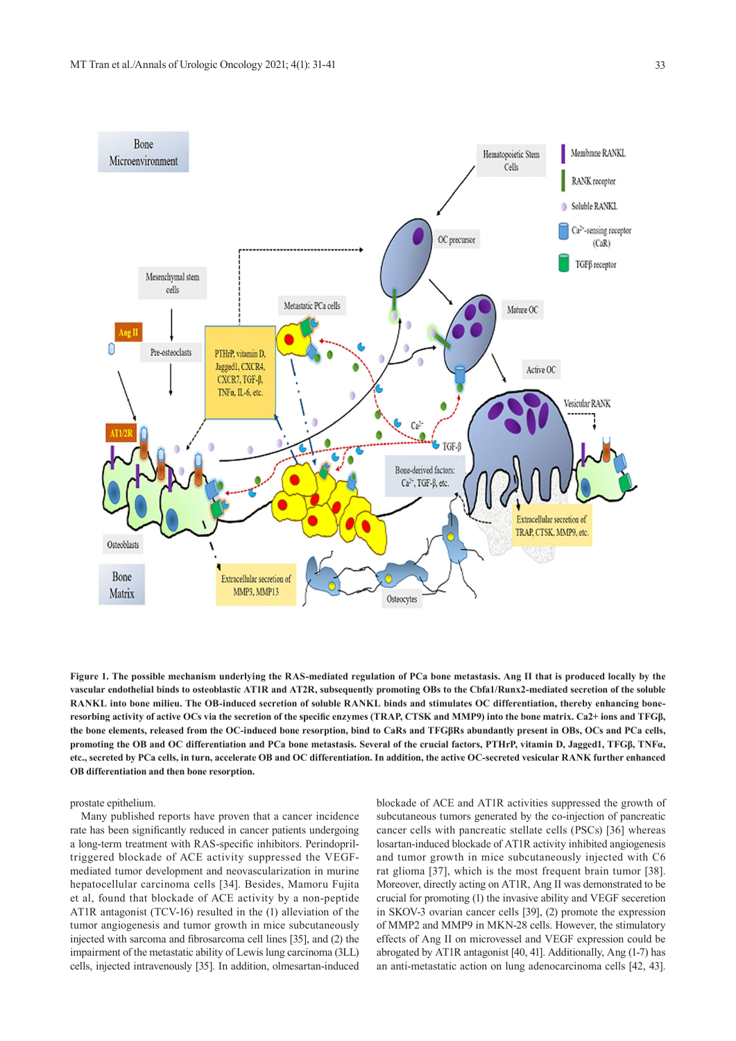

**Figure 1. The possible mechanism underlying the RAS-mediated regulation of PCa bone metastasis. Ang II that is produced locally by the vascular endothelial binds to osteoblastic AT1R and AT2R, subsequently promoting OBs to the Cbfa1/Runx2-mediated secretion of the soluble RANKL into bone milieu. The OB-induced secretion of soluble RANKL binds and stimulates OC differentiation, thereby enhancing boneresorbing activity of active OCs via the secretion of the specific enzymes (TRAP, CTSK and MMP9) into the bone matrix. Ca2+ ions and TFGβ, the bone elements, released from the OC-induced bone resorption, bind to CaRs and TFGβRs abundantly present in OBs, OCs and PCa cells, promoting the OB and OC differentiation and PCa bone metastasis. Several of the crucial factors, PTHrP, vitamin D, Jagged1, TFGβ, TNFα, etc., secreted by PCa cells, in turn, accelerate OB and OC differentiation. In addition, the active OC-secreted vesicular RANK further enhanced OB differentiation and then bone resorption.** 

prostate epithelium.

 Many published reports have proven that a cancer incidence rate has been significantly reduced in cancer patients undergoing a long-term treatment with RAS-specific inhibitors. Perindopriltriggered blockade of ACE activity suppressed the VEGFmediated tumor development and neovascularization in murine hepatocellular carcinoma cells [34]. Besides, Mamoru Fujita et al, found that blockade of ACE activity by a non-peptide AT1R antagonist (TCV-16) resulted in the (1) alleviation of the tumor angiogenesis and tumor growth in mice subcutaneously injected with sarcoma and fibrosarcoma cell lines [35], and (2) the impairment of the metastatic ability of Lewis lung carcinoma (3LL) cells, injected intravenously [35]. In addition, olmesartan-induced blockade of ACE and AT1R activities suppressed the growth of subcutaneous tumors generated by the co-injection of pancreatic cancer cells with pancreatic stellate cells (PSCs) [36] whereas losartan-induced blockade of AT1R activity inhibited angiogenesis and tumor growth in mice subcutaneously injected with C6 rat glioma [37], which is the most frequent brain tumor [38]. Moreover, directly acting on AT1R, Ang II was demonstrated to be crucial for promoting (1) the invasive ability and VEGF seceretion in SKOV-3 ovarian cancer cells [39], (2) promote the expression of MMP2 and MMP9 in MKN-28 cells. However, the stimulatory effects of Ang II on microvessel and VEGF expression could be abrogated by AT1R antagonist [40, 41]. Additionally, Ang (1-7) has an anti-metastatic action on lung adenocarcinoma cells [42, 43].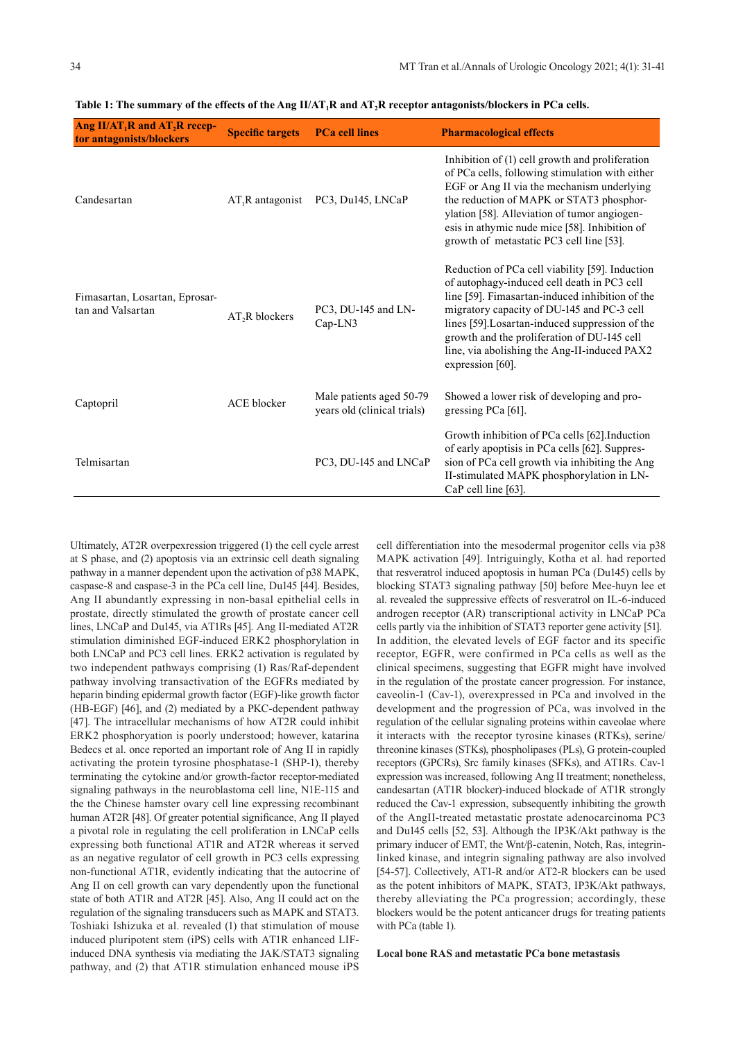| Ang $II/AT_1R$ and $AT_2R$ recep-<br>tor antagonists/blockers | <b>Specific targets</b> | <b>PCa cell lines</b>                                   | <b>Pharmacological effects</b>                                                                                                                                                                                                                                                                                                                                        |
|---------------------------------------------------------------|-------------------------|---------------------------------------------------------|-----------------------------------------------------------------------------------------------------------------------------------------------------------------------------------------------------------------------------------------------------------------------------------------------------------------------------------------------------------------------|
| Candesartan                                                   | $AT_1R$ antagonist      | PC3, Du145, LNCaP                                       | Inhibition of (1) cell growth and proliferation<br>of PCa cells, following stimulation with either<br>EGF or Ang II via the mechanism underlying<br>the reduction of MAPK or STAT3 phosphor-<br>ylation [58]. Alleviation of tumor angiogen-<br>esis in athymic nude mice [58]. Inhibition of<br>growth of metastatic PC3 cell line [53].                             |
| Fimasartan, Losartan, Eprosar-<br>tan and Valsartan           | $AT2R$ blockers         | PC3, DU-145 and LN-<br>$Cap-LN3$                        | Reduction of PCa cell viability [59]. Induction<br>of autophagy-induced cell death in PC3 cell<br>line [59]. Fimasartan-induced inhibition of the<br>migratory capacity of DU-145 and PC-3 cell<br>lines [59]. Losartan-induced suppression of the<br>growth and the proliferation of DU-145 cell<br>line, via abolishing the Ang-II-induced PAX2<br>expression [60]. |
| Captopril                                                     | <b>ACE</b> blocker      | Male patients aged 50-79<br>years old (clinical trials) | Showed a lower risk of developing and pro-<br>gressing $PCa$ [61].                                                                                                                                                                                                                                                                                                    |
| Telmisartan                                                   |                         | PC3, DU-145 and LNCaP                                   | Growth inhibition of PCa cells [62]. Induction<br>of early apoptisis in PCa cells [62]. Suppres-<br>sion of PCa cell growth via inhibiting the Ang<br>II-stimulated MAPK phosphorylation in LN-<br>CaP cell line [63].                                                                                                                                                |

Table 1: The summary of the effects of the Ang II/AT<sub>1</sub>R and AT<sub>2</sub>R receptor antagonists/blockers in PCa cells.

Ultimately, AT2R overpexression triggered (1) the cell cycle arrest at S phase, and (2) apoptosis via an extrinsic cell death signaling pathway in a manner dependent upon the activation of p38 MAPK, caspase-8 and caspase-3 in the PCa cell line, Du145 [44]. Besides, Ang II abundantly expressing in non-basal epithelial cells in prostate, directly stimulated the growth of prostate cancer cell lines, LNCaP and Du145, via AT1Rs [45]. Ang II-mediated AT2R stimulation diminished EGF-induced ERK2 phosphorylation in both LNCaP and PC3 cell lines. ERK2 activation is regulated by two independent pathways comprising (1) Ras/Raf-dependent pathway involving transactivation of the EGFRs mediated by heparin binding epidermal growth factor (EGF)-like growth factor (HB-EGF) [46], and (2) mediated by a PKC-dependent pathway [47]. The intracellular mechanisms of how AT2R could inhibit ERK2 phosphoryation is poorly understood; however, katarina Bedecs et al. once reported an important role of Ang II in rapidly activating the protein tyrosine phosphatase-1 (SHP-1), thereby terminating the cytokine and/or growth-factor receptor-mediated signaling pathways in the neuroblastoma cell line, N1E-115 and the the Chinese hamster ovary cell line expressing recombinant human AT2R [48]. Of greater potential significance, Ang II played a pivotal role in regulating the cell proliferation in LNCaP cells expressing both functional AT1R and AT2R whereas it served as an negative regulator of cell growth in PC3 cells expressing non-functional AT1R, evidently indicating that the autocrine of Ang II on cell growth can vary dependently upon the functional state of both AT1R and AT2R [45]. Also, Ang II could act on the regulation of the signaling transducers such as MAPK and STAT3. Toshiaki Ishizuka et al. revealed (1) that stimulation of mouse induced pluripotent stem (iPS) cells with AT1R enhanced LIFinduced DNA synthesis via mediating the JAK/STAT3 signaling pathway, and (2) that AT1R stimulation enhanced mouse iPS cell differentiation into the mesodermal progenitor cells via p38 MAPK activation [49]. Intriguingly, Kotha et al. had reported that resveratrol induced apoptosis in human PCa (Du145) cells by blocking STAT3 signaling pathway [50] before Mee-huyn lee et al. revealed the suppressive effects of resveratrol on IL-6-induced androgen receptor (AR) transcriptional activity in LNCaP PCa cells partly via the inhibition of STAT3 reporter gene activity [51]. In addition, the elevated levels of EGF factor and its specific receptor, EGFR, were confirmed in PCa cells as well as the clinical specimens, suggesting that EGFR might have involved in the regulation of the prostate cancer progression. For instance, caveolin-1 (Cav-1), overexpressed in PCa and involved in the development and the progression of PCa, was involved in the regulation of the cellular signaling proteins within caveolae where it interacts with the receptor tyrosine kinases (RTKs), serine/ threonine kinases (STKs), phospholipases (PLs), G protein-coupled receptors (GPCRs), Src family kinases (SFKs), and AT1Rs. Cav-1 expression was increased, following Ang II treatment; nonetheless, candesartan (AT1R blocker)-induced blockade of AT1R strongly reduced the Cav-1 expression, subsequently inhibiting the growth of the AngII-treated metastatic prostate adenocarcinoma PC3 and Du145 cells [52, 53]. Although the IP3K/Akt pathway is the primary inducer of EMT, the Wnt/β-catenin, Notch, Ras, integrinlinked kinase, and integrin signaling pathway are also involved [54-57]. Collectively, AT1-R and/or AT2-R blockers can be used as the potent inhibitors of MAPK, STAT3, IP3K/Akt pathways, thereby alleviating the PCa progression; accordingly, these blockers would be the potent anticancer drugs for treating patients with PCa (table 1).

**Local bone RAS and metastatic PCa bone metastasis**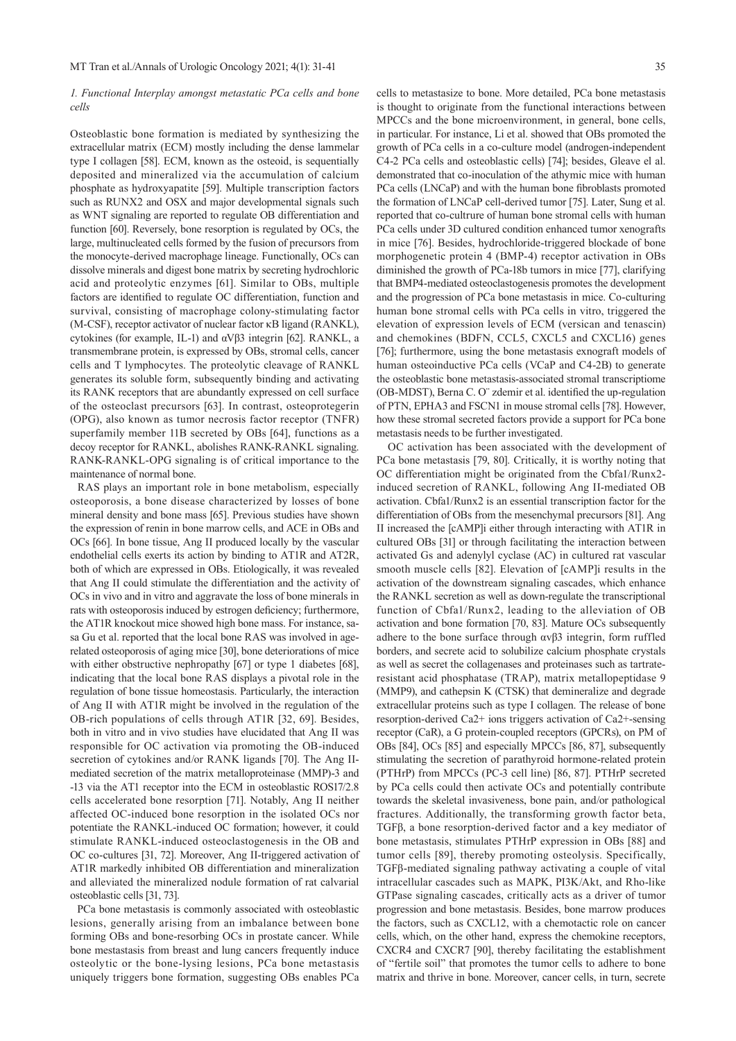#### *1. Functional Interplay amongst metastatic PCa cells and bone cells*

Osteoblastic bone formation is mediated by synthesizing the extracellular matrix (ECM) mostly including the dense lammelar type I collagen [58]. ECM, known as the osteoid, is sequentially deposited and mineralized via the accumulation of calcium phosphate as hydroxyapatite [59]. Multiple transcription factors such as RUNX2 and OSX and major developmental signals such as WNT signaling are reported to regulate OB differentiation and function [60]. Reversely, bone resorption is regulated by OCs, the large, multinucleated cells formed by the fusion of precursors from the monocyte-derived macrophage lineage. Functionally, OCs can dissolve minerals and digest bone matrix by secreting hydrochloric acid and proteolytic enzymes [61]. Similar to OBs, multiple factors are identified to regulate OC differentiation, function and survival, consisting of macrophage colony-stimulating factor (M-CSF), receptor activator of nuclear factor κB ligand (RANKL), cytokines (for example, IL-1) and αVβ3 integrin [62]. RANKL, a transmembrane protein, is expressed by OBs, stromal cells, cancer cells and T lymphocytes. The proteolytic cleavage of RANKL generates its soluble form, subsequently binding and activating its RANK receptors that are abundantly expressed on cell surface of the osteoclast precursors [63]. In contrast, osteoprotegerin (OPG), also known as tumor necrosis factor receptor (TNFR) superfamily member 11B secreted by OBs [64], functions as a decoy receptor for RANKL, abolishes RANK-RANKL signaling. RANK-RANKL-OPG signaling is of critical importance to the maintenance of normal bone.

 RAS plays an important role in bone metabolism, especially osteoporosis, a bone disease characterized by losses of bone mineral density and bone mass [65]. Previous studies have shown the expression of renin in bone marrow cells, and ACE in OBs and OCs [66]. In bone tissue, Ang II produced locally by the vascular endothelial cells exerts its action by binding to AT1R and AT2R, both of which are expressed in OBs. Etiologically, it was revealed that Ang II could stimulate the differentiation and the activity of OCs in vivo and in vitro and aggravate the loss of bone minerals in rats with osteoporosis induced by estrogen deficiency; furthermore, the AT1R knockout mice showed high bone mass. For instance, sasa Gu et al. reported that the local bone RAS was involved in agerelated osteoporosis of aging mice [30], bone deteriorations of mice with either obstructive nephropathy [67] or type 1 diabetes [68], indicating that the local bone RAS displays a pivotal role in the regulation of bone tissue homeostasis. Particularly, the interaction of Ang II with AT1R might be involved in the regulation of the OB-rich populations of cells through AT1R [32, 69]. Besides, both in vitro and in vivo studies have elucidated that Ang II was responsible for OC activation via promoting the OB-induced secretion of cytokines and/or RANK ligands [70]. The Ang IImediated secretion of the matrix metalloproteinase (MMP)-3 and -13 via the AT1 receptor into the ECM in osteoblastic ROS17/2.8 cells accelerated bone resorption [71]. Notably, Ang II neither affected OC-induced bone resorption in the isolated OCs nor potentiate the RANKL-induced OC formation; however, it could stimulate RANKL-induced osteoclastogenesis in the OB and OC co-cultures [31, 72]. Moreover, Ang II-triggered activation of AT1R markedly inhibited OB differentiation and mineralization and alleviated the mineralized nodule formation of rat calvarial osteoblastic cells [31, 73].

 PCa bone metastasis is commonly associated with osteoblastic lesions, generally arising from an imbalance between bone forming OBs and bone-resorbing OCs in prostate cancer. While bone mestastasis from breast and lung cancers frequently induce osteolytic or the bone-lysing lesions, PCa bone metastasis uniquely triggers bone formation, suggesting OBs enables PCa cells to metastasize to bone. More detailed, PCa bone metastasis is thought to originate from the functional interactions between MPCCs and the bone microenvironment, in general, bone cells, in particular. For instance, Li et al. showed that OBs promoted the growth of PCa cells in a co-culture model (androgen-independent C4-2 PCa cells and osteoblastic cells) [74]; besides, Gleave el al. demonstrated that co-inoculation of the athymic mice with human PCa cells (LNCaP) and with the human bone fibroblasts promoted the formation of LNCaP cell-derived tumor [75]. Later, Sung et al. reported that co-cultrure of human bone stromal cells with human PCa cells under 3D cultured condition enhanced tumor xenografts in mice [76]. Besides, hydrochloride-triggered blockade of bone morphogenetic protein 4 (BMP-4) receptor activation in OBs diminished the growth of PCa-18b tumors in mice [77], clarifying that BMP4-mediated osteoclastogenesis promotes the development and the progression of PCa bone metastasis in mice. Co-culturing human bone stromal cells with PCa cells in vitro, triggered the elevation of expression levels of ECM (versican and tenascin) and chemokines (BDFN, CCL5, CXCL5 and CXCL16) genes [76]; furthermore, using the bone metastasis exnograft models of human osteoinductive PCa cells (VCaP and C4-2B) to generate the osteoblastic bone metastasis-associated stromal transcriptiome (OB-MDST), Berna C. O¨ zdemir et al. identified the up-regulation of PTN, EPHA3 and FSCN1 in mouse stromal cells [78]. However, how these stromal secreted factors provide a support for PCa bone metastasis needs to be further investigated.

 OC activation has been associated with the development of PCa bone metastasis [79, 80]. Critically, it is worthy noting that OC differentiation might be originated from the Cbfa1/Runx2 induced secretion of RANKL, following Ang II-mediated OB activation. Cbfa1/Runx2 is an essential transcription factor for the differentiation of OBs from the mesenchymal precursors [81]. Ang II increased the [cAMP]i either through interacting with AT1R in cultured OBs [31] or through facilitating the interaction between activated Gs and adenylyl cyclase (AC) in cultured rat vascular smooth muscle cells [82]. Elevation of [cAMP]i results in the activation of the downstream signaling cascades, which enhance the RANKL secretion as well as down-regulate the transcriptional function of Cbfa1/Runx2, leading to the alleviation of OB activation and bone formation [70, 83]. Mature OCs subsequently adhere to the bone surface through αvβ3 integrin, form ruffled borders, and secrete acid to solubilize calcium phosphate crystals as well as secret the collagenases and proteinases such as tartrateresistant acid phosphatase (TRAP), matrix metallopeptidase 9 (MMP9), and cathepsin K (CTSK) that demineralize and degrade extracellular proteins such as type I collagen. The release of bone resorption-derived Ca2+ ions triggers activation of Ca2+-sensing receptor (CaR), a G protein-coupled receptors (GPCRs), on PM of OBs [84], OCs [85] and especially MPCCs [86, 87], subsequently stimulating the secretion of parathyroid hormone-related protein (PTHrP) from MPCCs (PC-3 cell line) [86, 87]. PTHrP secreted by PCa cells could then activate OCs and potentially contribute towards the skeletal invasiveness, bone pain, and/or pathological fractures. Additionally, the transforming growth factor beta, TGFβ, a bone resorption-derived factor and a key mediator of bone metastasis, stimulates PTHrP expression in OBs [88] and tumor cells [89], thereby promoting osteolysis. Specifically, TGFβ-mediated signaling pathway activating a couple of vital intracellular cascades such as MAPK, PI3K/Akt, and Rho-like GTPase signaling cascades, critically acts as a driver of tumor progression and bone metastasis. Besides, bone marrow produces the factors, such as CXCL12, with a chemotactic role on cancer cells, which, on the other hand, express the chemokine receptors, CXCR4 and CXCR7 [90], thereby facilitating the establishment of "fertile soil" that promotes the tumor cells to adhere to bone matrix and thrive in bone. Moreover, cancer cells, in turn, secrete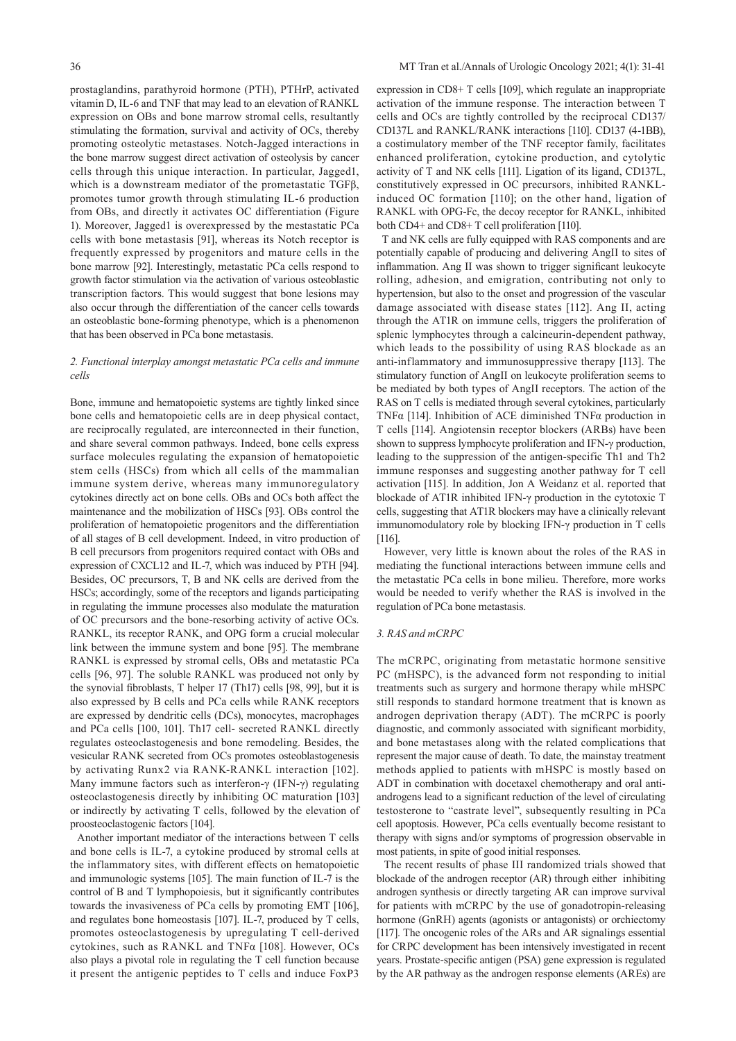prostaglandins, parathyroid hormone (PTH), PTHrP, activated vitamin D, IL-6 and TNF that may lead to an elevation of RANKL expression on OBs and bone marrow stromal cells, resultantly stimulating the formation, survival and activity of OCs, thereby promoting osteolytic metastases. Notch-Jagged interactions in the bone marrow suggest direct activation of osteolysis by cancer cells through this unique interaction. In particular, Jagged1, which is a downstream mediator of the prometastatic TGFβ, promotes tumor growth through stimulating IL-6 production from OBs, and directly it activates OC differentiation (Figure 1). Moreover, Jagged1 is overexpressed by the mestastatic PCa cells with bone metastasis [91], whereas its Notch receptor is frequently expressed by progenitors and mature cells in the bone marrow [92]. Interestingly, metastatic PCa cells respond to growth factor stimulation via the activation of various osteoblastic transcription factors. This would suggest that bone lesions may also occur through the differentiation of the cancer cells towards an osteoblastic bone-forming phenotype, which is a phenomenon that has been observed in PCa bone metastasis.

# *2. Functional interplay amongst metastatic PCa cells and immune cells*

Bone, immune and hematopoietic systems are tightly linked since bone cells and hematopoietic cells are in deep physical contact, are reciprocally regulated, are interconnected in their function, and share several common pathways. Indeed, bone cells express surface molecules regulating the expansion of hematopoietic stem cells (HSCs) from which all cells of the mammalian immune system derive, whereas many immunoregulatory cytokines directly act on bone cells. OBs and OCs both affect the maintenance and the mobilization of HSCs [93]. OBs control the proliferation of hematopoietic progenitors and the differentiation of all stages of B cell development. Indeed, in vitro production of B cell precursors from progenitors required contact with OBs and expression of CXCL12 and IL-7, which was induced by PTH [94]. Besides, OC precursors, T, B and NK cells are derived from the HSCs; accordingly, some of the receptors and ligands participating in regulating the immune processes also modulate the maturation of OC precursors and the bone-resorbing activity of active OCs. RANKL, its receptor RANK, and OPG form a crucial molecular link between the immune system and bone [95]. The membrane RANKL is expressed by stromal cells, OBs and metatastic PCa cells [96, 97]. The soluble RANKL was produced not only by the synovial fibroblasts, T helper 17 (Th17) cells [98, 99], but it is also expressed by B cells and PCa cells while RANK receptors are expressed by dendritic cells (DCs), monocytes, macrophages and PCa cells [100, 101]. Th17 cell- secreted RANKL directly regulates osteoclastogenesis and bone remodeling. Besides, the vesicular RANK secreted from OCs promotes osteoblastogenesis by activating Runx2 via RANK-RANKL interaction [102]. Many immune factors such as interferon-γ (IFN-γ) regulating osteoclastogenesis directly by inhibiting OC maturation [103] or indirectly by activating T cells, followed by the elevation of proosteoclastogenic factors [104].

 Another important mediator of the interactions between T cells and bone cells is IL-7, a cytokine produced by stromal cells at the inflammatory sites, with different effects on hematopoietic and immunologic systems [105]. The main function of IL-7 is the control of B and T lymphopoiesis, but it significantly contributes towards the invasiveness of PCa cells by promoting EMT [106], and regulates bone homeostasis [107]. IL-7, produced by T cells, promotes osteoclastogenesis by upregulating T cell-derived cytokines, such as RANKL and TNFα [108]. However, OCs also plays a pivotal role in regulating the T cell function because it present the antigenic peptides to T cells and induce FoxP3

expression in CD8+ T cells [109], which regulate an inappropriate activation of the immune response. The interaction between T cells and OCs are tightly controlled by the reciprocal CD137/ CD137L and RANKL/RANK interactions [110]. CD137 (4-1BB), a costimulatory member of the TNF receptor family, facilitates enhanced proliferation, cytokine production, and cytolytic activity of T and NK cells [111]. Ligation of its ligand, CD137L, constitutively expressed in OC precursors, inhibited RANKLinduced OC formation [110]; on the other hand, ligation of RANKL with OPG-Fc, the decoy receptor for RANKL, inhibited both CD4+ and CD8+ T cell proliferation [110].

 T and NK cells are fully equipped with RAS components and are potentially capable of producing and delivering AngII to sites of inflammation. Ang II was shown to trigger significant leukocyte rolling, adhesion, and emigration, contributing not only to hypertension, but also to the onset and progression of the vascular damage associated with disease states [112]. Ang II, acting through the AT1R on immune cells, triggers the proliferation of splenic lymphocytes through a calcineurin-dependent pathway, which leads to the possibility of using RAS blockade as an anti-inflammatory and immunosuppressive therapy [113]. The stimulatory function of AngII on leukocyte proliferation seems to be mediated by both types of AngII receptors. The action of the RAS on T cells is mediated through several cytokines, particularly TNFα [114]. Inhibition of ACE diminished TNFα production in T cells [114]. Angiotensin receptor blockers (ARBs) have been shown to suppress lymphocyte proliferation and IFN-γ production, leading to the suppression of the antigen-specific Th1 and Th2 immune responses and suggesting another pathway for T cell activation [115]. In addition, Jon A Weidanz et al. reported that blockade of AT1R inhibited IFN-γ production in the cytotoxic T cells, suggesting that AT1R blockers may have a clinically relevant immunomodulatory role by blocking IFN-γ production in T cells [116].

 However, very little is known about the roles of the RAS in mediating the functional interactions between immune cells and the metastatic PCa cells in bone milieu. Therefore, more works would be needed to verify whether the RAS is involved in the regulation of PCa bone metastasis.

#### *3. RAS and mCRPC*

The mCRPC, originating from metastatic hormone sensitive PC (mHSPC), is the advanced form not responding to initial treatments such as surgery and hormone therapy while mHSPC still responds to standard hormone treatment that is known as androgen deprivation therapy (ADT). The mCRPC is poorly diagnostic, and commonly associated with significant morbidity, and bone metastases along with the related complications that represent the major cause of death. To date, the mainstay treatment methods applied to patients with mHSPC is mostly based on ADT in combination with docetaxel chemotherapy and oral antiandrogens lead to a significant reduction of the level of circulating testosterone to "castrate level", subsequently resulting in PCa cell apoptosis. However, PCa cells eventually become resistant to therapy with signs and/or symptoms of progression observable in most patients, in spite of good initial responses.

 The recent results of phase III randomized trials showed that blockade of the androgen receptor (AR) through either inhibiting androgen synthesis or directly targeting AR can improve survival for patients with mCRPC by the use of gonadotropin-releasing hormone (GnRH) agents (agonists or antagonists) or orchiectomy [117]. The oncogenic roles of the ARs and AR signalings essential for CRPC development has been intensively investigated in recent years. Prostate-specific antigen (PSA) gene expression is regulated by the AR pathway as the androgen response elements (AREs) are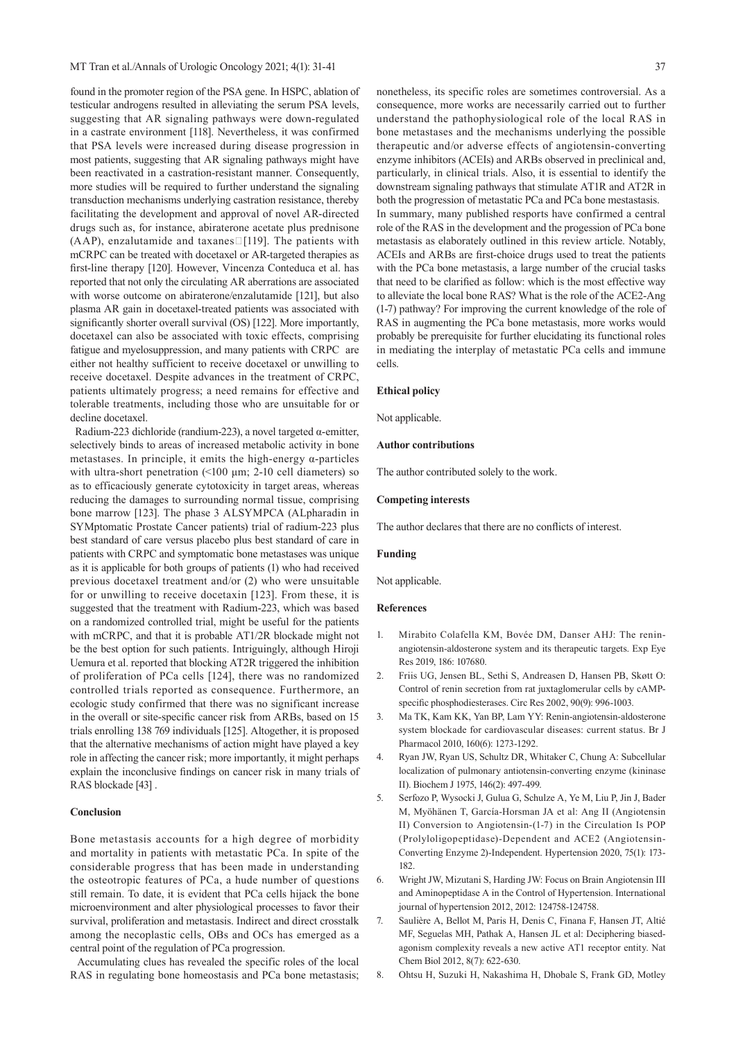found in the promoter region of the PSA gene. In HSPC, ablation of testicular androgens resulted in alleviating the serum PSA levels, suggesting that AR signaling pathways were down-regulated in a castrate environment [118]. Nevertheless, it was confirmed that PSA levels were increased during disease progression in most patients, suggesting that AR signaling pathways might have been reactivated in a castration-resistant manner. Consequently, more studies will be required to further understand the signaling transduction mechanisms underlying castration resistance, thereby facilitating the development and approval of novel AR-directed drugs such as, for instance, abiraterone acetate plus prednisone (AAP), enzalutamide and taxanes  $\Box$  [119]. The patients with mCRPC can be treated with docetaxel or AR-targeted therapies as first-line therapy [120]. However, Vincenza Conteduca et al. has reported that not only the circulating AR aberrations are associated with worse outcome on abiraterone/enzalutamide [121], but also plasma AR gain in docetaxel-treated patients was associated with significantly shorter overall survival (OS) [122]. More importantly, docetaxel can also be associated with toxic effects, comprising fatigue and myelosuppression, and many patients with CRPC are either not healthy sufficient to receive docetaxel or unwilling to receive docetaxel. Despite advances in the treatment of CRPC, patients ultimately progress; a need remains for effective and tolerable treatments, including those who are unsuitable for or decline docetaxel.

 Radium-223 dichloride (randium-223), a novel targeted α-emitter, selectively binds to areas of increased metabolic activity in bone metastases. In principle, it emits the high-energy  $\alpha$ -particles with ultra-short penetration (<100 μm; 2-10 cell diameters) so as to efficaciously generate cytotoxicity in target areas, whereas reducing the damages to surrounding normal tissue, comprising bone marrow [123]. The phase 3 ALSYMPCA (ALpharadin in SYMptomatic Prostate Cancer patients) trial of radium-223 plus best standard of care versus placebo plus best standard of care in patients with CRPC and symptomatic bone metastases was unique as it is applicable for both groups of patients (1) who had received previous docetaxel treatment and/or (2) who were unsuitable for or unwilling to receive docetaxin [123]. From these, it is suggested that the treatment with Radium-223, which was based on a randomized controlled trial, might be useful for the patients with mCRPC, and that it is probable AT1/2R blockade might not be the best option for such patients. Intriguingly, although Hiroji Uemura et al. reported that blocking AT2R triggered the inhibition of proliferation of PCa cells [124], there was no randomized controlled trials reported as consequence. Furthermore, an ecologic study confirmed that there was no significant increase in the overall or site-specific cancer risk from ARBs, based on 15 trials enrolling 138 769 individuals [125]. Altogether, it is proposed that the alternative mechanisms of action might have played a key role in affecting the cancer risk; more importantly, it might perhaps explain the inconclusive findings on cancer risk in many trials of RAS blockade [43] .

## **Conclusion**

Bone metastasis accounts for a high degree of morbidity and mortality in patients with metastatic PCa. In spite of the considerable progress that has been made in understanding the osteotropic features of PCa, a hude number of questions still remain. To date, it is evident that PCa cells hijack the bone microenvironment and alter physiological processes to favor their survival, proliferation and metastasis. Indirect and direct crosstalk among the necoplastic cells, OBs and OCs has emerged as a central point of the regulation of PCa progression.

 Accumulating clues has revealed the specific roles of the local RAS in regulating bone homeostasis and PCa bone metastasis;

nonetheless, its specific roles are sometimes controversial. As a consequence, more works are necessarily carried out to further understand the pathophysiological role of the local RAS in bone metastases and the mechanisms underlying the possible therapeutic and/or adverse effects of angiotensin-converting enzyme inhibitors (ACEIs) and ARBs observed in preclinical and, particularly, in clinical trials. Also, it is essential to identify the downstream signaling pathways that stimulate AT1R and AT2R in both the progression of metastatic PCa and PCa bone mestastasis. In summary, many published resports have confirmed a central role of the RAS in the development and the progession of PCa bone metastasis as elaborately outlined in this review article. Notably, ACEIs and ARBs are first-choice drugs used to treat the patients with the PCa bone metastasis, a large number of the crucial tasks that need to be clarified as follow: which is the most effective way to alleviate the local bone RAS? What is the role of the ACE2-Ang (1-7) pathway? For improving the current knowledge of the role of RAS in augmenting the PCa bone metastasis, more works would probably be prerequisite for further elucidating its functional roles in mediating the interplay of metastatic PCa cells and immune cells.

#### **Ethical policy**

Not applicable.

#### **Author contributions**

The author contributed solely to the work.

#### **Competing interests**

The author declares that there are no conflicts of interest.

#### **Funding**

Not applicable.

## **References**

- 1. Mirabito Colafella KM, Bovée DM, Danser AHJ: The reninangiotensin-aldosterone system and its therapeutic targets. Exp Eye Res 2019, 186: 107680.
- 2. Friis UG, Jensen BL, Sethi S, Andreasen D, Hansen PB, Skøtt O: Control of renin secretion from rat juxtaglomerular cells by cAMPspecific phosphodiesterases. Circ Res 2002, 90(9): 996-1003.
- 3. Ma TK, Kam KK, Yan BP, Lam YY: Renin-angiotensin-aldosterone system blockade for cardiovascular diseases: current status. Br J Pharmacol 2010, 160(6): 1273-1292.
- 4. Ryan JW, Ryan US, Schultz DR, Whitaker C, Chung A: Subcellular localization of pulmonary antiotensin-converting enzyme (kininase II). Biochem J 1975, 146(2): 497-499.
- 5. Serfozo P, Wysocki J, Gulua G, Schulze A, Ye M, Liu P, Jin J, Bader M, Myöhänen T, García-Horsman JA et al: Ang II (Angiotensin II) Conversion to Angiotensin-(1-7) in the Circulation Is POP (Prolyloligopeptidase)-Dependent and ACE2 (Angiotensin-Converting Enzyme 2)-Independent. Hypertension 2020, 75(1): 173- 182.
- 6. Wright JW, Mizutani S, Harding JW: Focus on Brain Angiotensin III and Aminopeptidase A in the Control of Hypertension. International journal of hypertension 2012, 2012: 124758-124758.
- 7. Saulière A, Bellot M, Paris H, Denis C, Finana F, Hansen JT, Altié MF, Seguelas MH, Pathak A, Hansen JL et al: Deciphering biasedagonism complexity reveals a new active AT1 receptor entity. Nat Chem Biol 2012, 8(7): 622-630.
- 8. Ohtsu H, Suzuki H, Nakashima H, Dhobale S, Frank GD, Motley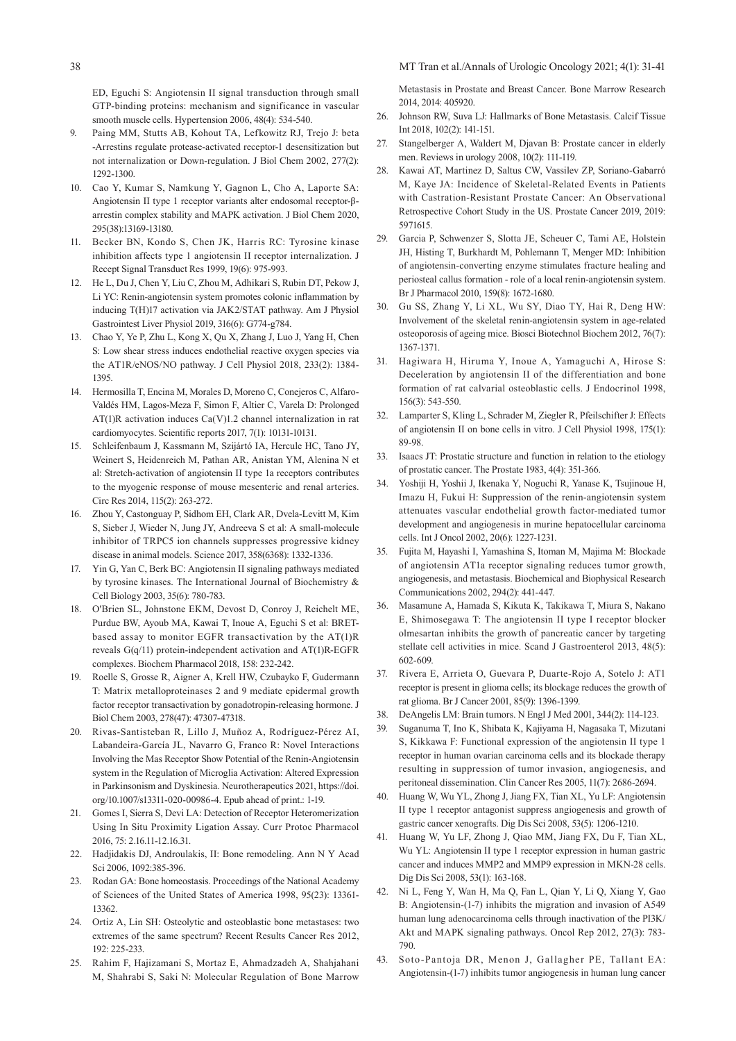ED, Eguchi S: Angiotensin II signal transduction through small GTP-binding proteins: mechanism and significance in vascular smooth muscle cells. Hypertension 2006, 48(4): 534-540.

- 9. Paing MM, Stutts AB, Kohout TA, Lefkowitz RJ, Trejo J: beta -Arrestins regulate protease-activated receptor-1 desensitization but not internalization or Down-regulation. J Biol Chem 2002, 277(2): 1292-1300.
- 10. Cao Y, Kumar S, Namkung Y, Gagnon L, Cho A, Laporte SA: Angiotensin II type 1 receptor variants alter endosomal receptor-βarrestin complex stability and MAPK activation. J Biol Chem 2020, 295(38):13169-13180.
- 11. Becker BN, Kondo S, Chen JK, Harris RC: Tyrosine kinase inhibition affects type 1 angiotensin II receptor internalization. J Recept Signal Transduct Res 1999, 19(6): 975-993.
- 12. He L, Du J, Chen Y, Liu C, Zhou M, Adhikari S, Rubin DT, Pekow J, Li YC: Renin-angiotensin system promotes colonic inflammation by inducing T(H)17 activation via JAK2/STAT pathway. Am J Physiol Gastrointest Liver Physiol 2019, 316(6): G774-g784.
- 13. Chao Y, Ye P, Zhu L, Kong X, Qu X, Zhang J, Luo J, Yang H, Chen S: Low shear stress induces endothelial reactive oxygen species via the AT1R/eNOS/NO pathway. J Cell Physiol 2018, 233(2): 1384- 1395.
- 14. Hermosilla T, Encina M, Morales D, Moreno C, Conejeros C, Alfaro-Valdés HM, Lagos-Meza F, Simon F, Altier C, Varela D: Prolonged AT(1)R activation induces Ca(V)1.2 channel internalization in rat cardiomyocytes. Scientific reports 2017, 7(1): 10131-10131.
- 15. Schleifenbaum J, Kassmann M, Szijártó IA, Hercule HC, Tano JY, Weinert S, Heidenreich M, Pathan AR, Anistan YM, Alenina N et al: Stretch-activation of angiotensin II type 1a receptors contributes to the myogenic response of mouse mesenteric and renal arteries. Circ Res 2014, 115(2): 263-272.
- 16. Zhou Y, Castonguay P, Sidhom EH, Clark AR, Dvela-Levitt M, Kim S, Sieber J, Wieder N, Jung JY, Andreeva S et al: A small-molecule inhibitor of TRPC5 ion channels suppresses progressive kidney disease in animal models. Science 2017, 358(6368): 1332-1336.
- 17. Yin G, Yan C, Berk BC: Angiotensin II signaling pathways mediated by tyrosine kinases. The International Journal of Biochemistry & Cell Biology 2003, 35(6): 780-783.
- 18. O'Brien SL, Johnstone EKM, Devost D, Conroy J, Reichelt ME, Purdue BW, Ayoub MA, Kawai T, Inoue A, Eguchi S et al: BRETbased assay to monitor EGFR transactivation by the AT(1)R reveals G(q/11) protein-independent activation and AT(1)R-EGFR complexes. Biochem Pharmacol 2018, 158: 232-242.
- 19. Roelle S, Grosse R, Aigner A, Krell HW, Czubayko F, Gudermann T: Matrix metalloproteinases 2 and 9 mediate epidermal growth factor receptor transactivation by gonadotropin-releasing hormone. J Biol Chem 2003, 278(47): 47307-47318.
- 20. Rivas-Santisteban R, Lillo J, Muñoz A, Rodríguez-Pérez AI, Labandeira-García JL, Navarro G, Franco R: Novel Interactions Involving the Mas Receptor Show Potential of the Renin-Angiotensin system in the Regulation of Microglia Activation: Altered Expression in Parkinsonism and Dyskinesia. Neurotherapeutics 2021, https://doi. org/10.1007/s13311-020-00986-4. Epub ahead of print.: 1-19.
- 21. Gomes I, Sierra S, Devi LA: Detection of Receptor Heteromerization Using In Situ Proximity Ligation Assay. Curr Protoc Pharmacol 2016, 75: 2.16.11-12.16.31.
- 22. Hadjidakis DJ, Androulakis, II: Bone remodeling. Ann N Y Acad Sci 2006, 1092:385-396.
- 23. Rodan GA: Bone homeostasis. Proceedings of the National Academy of Sciences of the United States of America 1998, 95(23): 13361- 13362.
- 24. Ortiz A, Lin SH: Osteolytic and osteoblastic bone metastases: two extremes of the same spectrum? Recent Results Cancer Res 2012, 192: 225-233.
- 25. Rahim F, Hajizamani S, Mortaz E, Ahmadzadeh A, Shahjahani M, Shahrabi S, Saki N: Molecular Regulation of Bone Marrow

Metastasis in Prostate and Breast Cancer. Bone Marrow Research 2014, 2014: 405920.

- 26. Johnson RW, Suva LJ: Hallmarks of Bone Metastasis. Calcif Tissue Int 2018, 102(2): 141-151.
- 27. Stangelberger A, Waldert M, Djavan B: Prostate cancer in elderly men. Reviews in urology 2008, 10(2): 111-119.
- 28. Kawai AT, Martinez D, Saltus CW, Vassilev ZP, Soriano-Gabarró M, Kaye JA: Incidence of Skeletal-Related Events in Patients with Castration-Resistant Prostate Cancer: An Observational Retrospective Cohort Study in the US. Prostate Cancer 2019, 2019: 5971615.
- 29. Garcia P, Schwenzer S, Slotta JE, Scheuer C, Tami AE, Holstein JH, Histing T, Burkhardt M, Pohlemann T, Menger MD: Inhibition of angiotensin-converting enzyme stimulates fracture healing and periosteal callus formation - role of a local renin-angiotensin system. Br J Pharmacol 2010, 159(8): 1672-1680.
- 30. Gu SS, Zhang Y, Li XL, Wu SY, Diao TY, Hai R, Deng HW: Involvement of the skeletal renin-angiotensin system in age-related osteoporosis of ageing mice. Biosci Biotechnol Biochem 2012, 76(7): 1367-1371.
- 31. Hagiwara H, Hiruma Y, Inoue A, Yamaguchi A, Hirose S: Deceleration by angiotensin II of the differentiation and bone formation of rat calvarial osteoblastic cells. J Endocrinol 1998, 156(3): 543-550.
- 32. Lamparter S, Kling L, Schrader M, Ziegler R, Pfeilschifter J: Effects of angiotensin II on bone cells in vitro. J Cell Physiol 1998, 175(1): 89-98.
- 33. Isaacs JT: Prostatic structure and function in relation to the etiology of prostatic cancer. The Prostate 1983, 4(4): 351-366.
- 34. Yoshiji H, Yoshii J, Ikenaka Y, Noguchi R, Yanase K, Tsujinoue H, Imazu H, Fukui H: Suppression of the renin-angiotensin system attenuates vascular endothelial growth factor-mediated tumor development and angiogenesis in murine hepatocellular carcinoma cells. Int J Oncol 2002, 20(6): 1227-1231.
- 35. Fujita M, Hayashi I, Yamashina S, Itoman M, Majima M: Blockade of angiotensin AT1a receptor signaling reduces tumor growth, angiogenesis, and metastasis. Biochemical and Biophysical Research Communications 2002, 294(2): 441-447.
- 36. Masamune A, Hamada S, Kikuta K, Takikawa T, Miura S, Nakano E, Shimosegawa T: The angiotensin II type I receptor blocker olmesartan inhibits the growth of pancreatic cancer by targeting stellate cell activities in mice. Scand J Gastroenterol 2013, 48(5): 602-609.
- 37. Rivera E, Arrieta O, Guevara P, Duarte-Rojo A, Sotelo J: AT1 receptor is present in glioma cells; its blockage reduces the growth of rat glioma. Br J Cancer 2001, 85(9): 1396-1399.
- 38. DeAngelis LM: Brain tumors. N Engl J Med 2001, 344(2): 114-123.
- 39. Suganuma T, Ino K, Shibata K, Kajiyama H, Nagasaka T, Mizutani S, Kikkawa F: Functional expression of the angiotensin II type 1 receptor in human ovarian carcinoma cells and its blockade therapy resulting in suppression of tumor invasion, angiogenesis, and peritoneal dissemination. Clin Cancer Res 2005, 11(7): 2686-2694.
- 40. Huang W, Wu YL, Zhong J, Jiang FX, Tian XL, Yu LF: Angiotensin II type 1 receptor antagonist suppress angiogenesis and growth of gastric cancer xenografts. Dig Dis Sci 2008, 53(5): 1206-1210.
- 41. Huang W, Yu LF, Zhong J, Qiao MM, Jiang FX, Du F, Tian XL, Wu YL: Angiotensin II type 1 receptor expression in human gastric cancer and induces MMP2 and MMP9 expression in MKN-28 cells. Dig Dis Sci 2008, 53(1): 163-168.
- 42. Ni L, Feng Y, Wan H, Ma Q, Fan L, Qian Y, Li Q, Xiang Y, Gao B: Angiotensin-(1-7) inhibits the migration and invasion of A549 human lung adenocarcinoma cells through inactivation of the PI3K/ Akt and MAPK signaling pathways. Oncol Rep 2012, 27(3): 783- 790.
- 43. Soto-Pantoja DR, Menon J, Gallagher PE, Tallant EA: Angiotensin-(1-7) inhibits tumor angiogenesis in human lung cancer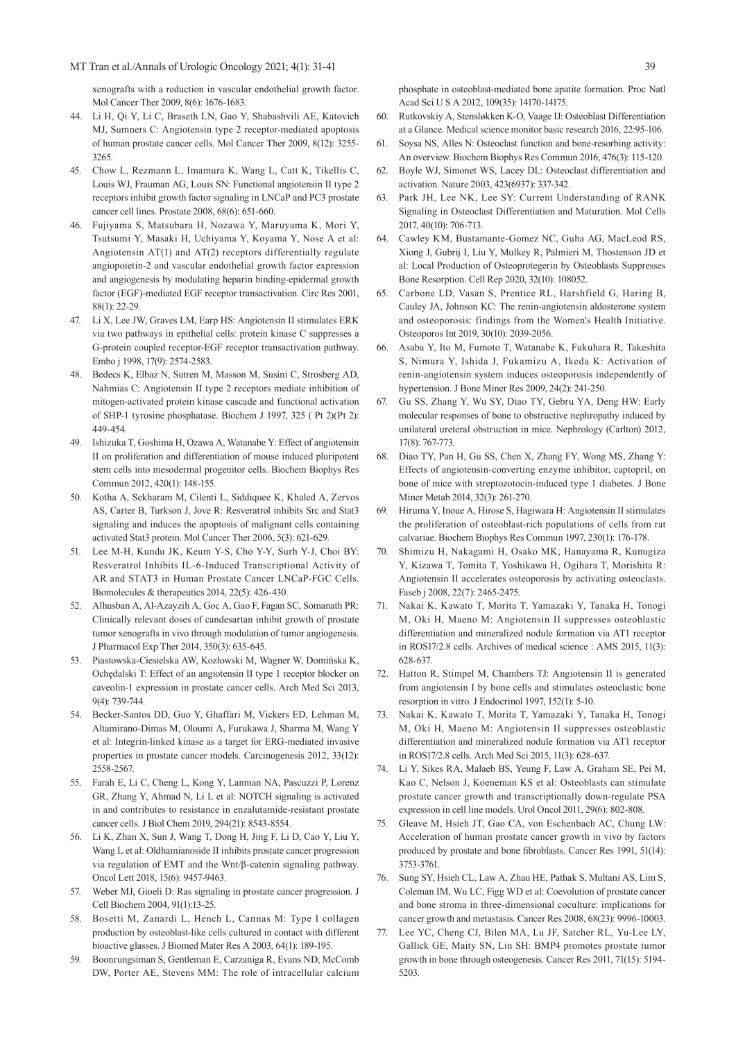MT Tran et al./Annals of Urologic Oncology 2021; 4(1): 31-41 39

xenografts with a reduction in vascular endothelial growth factor. Mol Cancer Ther 2009, 8(6): 1676-1683.

- 44. Li H, Qi Y, Li C, Braseth LN, Gao Y, Shabashvili AE, Katovich MJ, Sumners C: Angiotensin type 2 receptor-mediated apoptosis of human prostate cancer cells. Mol Cancer Ther 2009, 8(12): 3255- 3265.
- 45. Chow L, Rezmann L, Imamura K, Wang L, Catt K, Tikellis C, Louis WJ, Frauman AG, Louis SN: Functional angiotensin II type 2 receptors inhibit growth factor signaling in LNCaP and PC3 prostate cancer cell lines. Prostate 2008, 68(6): 651-660.
- 46. Fujiyama S, Matsubara H, Nozawa Y, Maruyama K, Mori Y, Tsutsumi Y, Masaki H, Uchiyama Y, Koyama Y, Nose A et al: Angiotensin AT(1) and AT(2) receptors differentially regulate angiopoietin-2 and vascular endothelial growth factor expression and angiogenesis by modulating heparin binding-epidermal growth factor (EGF)-mediated EGF receptor transactivation. Circ Res 2001, 88(1): 22-29.
- 47. Li X, Lee JW, Graves LM, Earp HS: Angiotensin II stimulates ERK via two pathways in epithelial cells: protein kinase C suppresses a G-protein coupled receptor-EGF receptor transactivation pathway. Embo j 1998, 17(9): 2574-2583.
- 48. Bedecs K, Elbaz N, Sutren M, Masson M, Susini C, Strosberg AD, Nahmias C: Angiotensin II type 2 receptors mediate inhibition of mitogen-activated protein kinase cascade and functional activation of SHP-1 tyrosine phosphatase. Biochem J 1997, 325 ( Pt 2)(Pt 2): 449-454.
- 49. Ishizuka T, Goshima H, Ozawa A, Watanabe Y: Effect of angiotensin II on proliferation and differentiation of mouse induced pluripotent stem cells into mesodermal progenitor cells. Biochem Biophys Res Commun 2012, 420(1): 148-155.
- 50. Kotha A, Sekharam M, Cilenti L, Siddiquee K, Khaled A, Zervos AS, Carter B, Turkson J, Jove R: Resveratrol inhibits Src and Stat3 signaling and induces the apoptosis of malignant cells containing activated Stat3 protein. Mol Cancer Ther 2006, 5(3): 621-629.
- 51. Lee M-H, Kundu JK, Keum Y-S, Cho Y-Y, Surh Y-J, Choi BY: Resveratrol Inhibits IL-6-Induced Transcriptional Activity of AR and STAT3 in Human Prostate Cancer LNCaP-FGC Cells. Biomolecules & therapeutics 2014, 22(5): 426-430.
- 52. Alhusban A, Al-Azayzih A, Goc A, Gao F, Fagan SC, Somanath PR: Clinically relevant doses of candesartan inhibit growth of prostate tumor xenografts in vivo through modulation of tumor angiogenesis. J Pharmacol Exp Ther 2014, 350(3): 635-645.
- 53. Piastowska-Ciesielska AW, Kozłowski M, Wagner W, Domińska K, Ochędalski T: Effect of an angiotensin II type 1 receptor blocker on caveolin-1 expression in prostate cancer cells. Arch Med Sci 2013, 9(4): 739-744.
- 54. Becker-Santos DD, Guo Y, Ghaffari M, Vickers ED, Lehman M, Altamirano-Dimas M, Oloumi A, Furukawa J, Sharma M, Wang Y et al: Integrin-linked kinase as a target for ERG-mediated invasive properties in prostate cancer models. Carcinogenesis 2012, 33(12): 2558-2567.
- 55. Farah E, Li C, Cheng L, Kong Y, Lanman NA, Pascuzzi P, Lorenz GR, Zhang Y, Ahmad N, Li L et al: NOTCH signaling is activated in and contributes to resistance in enzalutamide-resistant prostate cancer cells. J Biol Chem 2019, 294(21): 8543-8554.
- 56. Li K, Zhan X, Sun J, Wang T, Dong H, Jing F, Li D, Cao Y, Liu Y, Wang L et al: Oldhamianoside II inhibits prostate cancer progression via regulation of EMT and the Wnt/β-catenin signaling pathway. Oncol Lett 2018, 15(6): 9457-9463.
- 57. Weber MJ, Gioeli D: Ras signaling in prostate cancer progression. J Cell Biochem 2004, 91(1):13-25.
- 58. Bosetti M, Zanardi L, Hench L, Cannas M: Type I collagen production by osteoblast-like cells cultured in contact with different bioactive glasses. J Biomed Mater Res A 2003, 64(1): 189-195.
- 59. Boonrungsiman S, Gentleman E, Carzaniga R, Evans ND, McComb DW, Porter AE, Stevens MM: The role of intracellular calcium

phosphate in osteoblast-mediated bone apatite formation. Proc Natl Acad Sci U S A 2012, 109(35): 14170-14175.

- 60. Rutkovskiy A, Stensløkken K-O, Vaage IJ: Osteoblast Differentiation at a Glance. Medical science monitor basic research 2016, 22:95-106.
- 61. Soysa NS, Alles N: Osteoclast function and bone-resorbing activity: An overview. Biochem Biophys Res Commun 2016, 476(3): 115-120.
- 62. Boyle WJ, Simonet WS, Lacey DL: Osteoclast differentiation and activation. Nature 2003, 423(6937): 337-342.
- 63. Park JH, Lee NK, Lee SY: Current Understanding of RANK Signaling in Osteoclast Differentiation and Maturation. Mol Cells 2017, 40(10): 706-713.
- 64. Cawley KM, Bustamante-Gomez NC, Guha AG, MacLeod RS, Xiong J, Gubrij I, Liu Y, Mulkey R, Palmieri M, Thostenson JD et al: Local Production of Osteoprotegerin by Osteoblasts Suppresses Bone Resorption. Cell Rep 2020, 32(10): 108052.
- 65. Carbone LD, Vasan S, Prentice RL, Harshfield G, Haring B, Cauley JA, Johnson KC: The renin-angiotensin aldosterone system and osteoporosis: findings from the Women's Health Initiative. Osteoporos Int 2019, 30(10): 2039-2056.
- 66. Asaba Y, Ito M, Fumoto T, Watanabe K, Fukuhara R, Takeshita S, Nimura Y, Ishida J, Fukamizu A, Ikeda K: Activation of renin-angiotensin system induces osteoporosis independently of hypertension. J Bone Miner Res 2009, 24(2): 241-250.
- 67. Gu SS, Zhang Y, Wu SY, Diao TY, Gebru YA, Deng HW: Early molecular responses of bone to obstructive nephropathy induced by unilateral ureteral obstruction in mice. Nephrology (Carlton) 2012, 17(8): 767-773.
- 68. Diao TY, Pan H, Gu SS, Chen X, Zhang FY, Wong MS, Zhang Y: Effects of angiotensin-converting enzyme inhibitor, captopril, on bone of mice with streptozotocin-induced type 1 diabetes. J Bone Miner Metab 2014, 32(3): 261-270.
- 69. Hiruma Y, Inoue A, Hirose S, Hagiwara H: Angiotensin II stimulates the proliferation of osteoblast-rich populations of cells from rat calvariae. Biochem Biophys Res Commun 1997, 230(1): 176-178.
- 70. Shimizu H, Nakagami H, Osako MK, Hanayama R, Kunugiza Y, Kizawa T, Tomita T, Yoshikawa H, Ogihara T, Morishita R: Angiotensin II accelerates osteoporosis by activating osteoclasts. Faseb j 2008, 22(7): 2465-2475.
- 71. Nakai K, Kawato T, Morita T, Yamazaki Y, Tanaka H, Tonogi M, Oki H, Maeno M: Angiotensin II suppresses osteoblastic differentiation and mineralized nodule formation via AT1 receptor in ROS17/2.8 cells. Archives of medical science : AMS 2015, 11(3): 628-637.
- 72. Hatton R, Stimpel M, Chambers TJ: Angiotensin II is generated from angiotensin I by bone cells and stimulates osteoclastic bone resorption in vitro. J Endocrinol 1997, 152(1): 5-10.
- 73. Nakai K, Kawato T, Morita T, Yamazaki Y, Tanaka H, Tonogi M, Oki H, Maeno M: Angiotensin II suppresses osteoblastic differentiation and mineralized nodule formation via AT1 receptor in ROS17/2.8 cells. Arch Med Sci 2015, 11(3): 628-637.
- 74. Li Y, Sikes RA, Malaeb BS, Yeung F, Law A, Graham SE, Pei M, Kao C, Nelson J, Koeneman KS et al: Osteoblasts can stimulate prostate cancer growth and transcriptionally down-regulate PSA expression in cell line models. Urol Oncol 2011, 29(6): 802-808.
- 75. Gleave M, Hsieh JT, Gao CA, von Eschenbach AC, Chung LW: Acceleration of human prostate cancer growth in vivo by factors produced by prostate and bone fibroblasts. Cancer Res 1991, 51(14): 3753-3761.
- 76. Sung SY, Hsieh CL, Law A, Zhau HE, Pathak S, Multani AS, Lim S, Coleman IM, Wu LC, Figg WD et al: Coevolution of prostate cancer and bone stroma in three-dimensional coculture: implications for cancer growth and metastasis. Cancer Res 2008, 68(23): 9996-10003.
- 77. Lee YC, Cheng CJ, Bilen MA, Lu JF, Satcher RL, Yu-Lee LY, Gallick GE, Maity SN, Lin SH: BMP4 promotes prostate tumor growth in bone through osteogenesis. Cancer Res 2011, 71(15): 5194- 5203.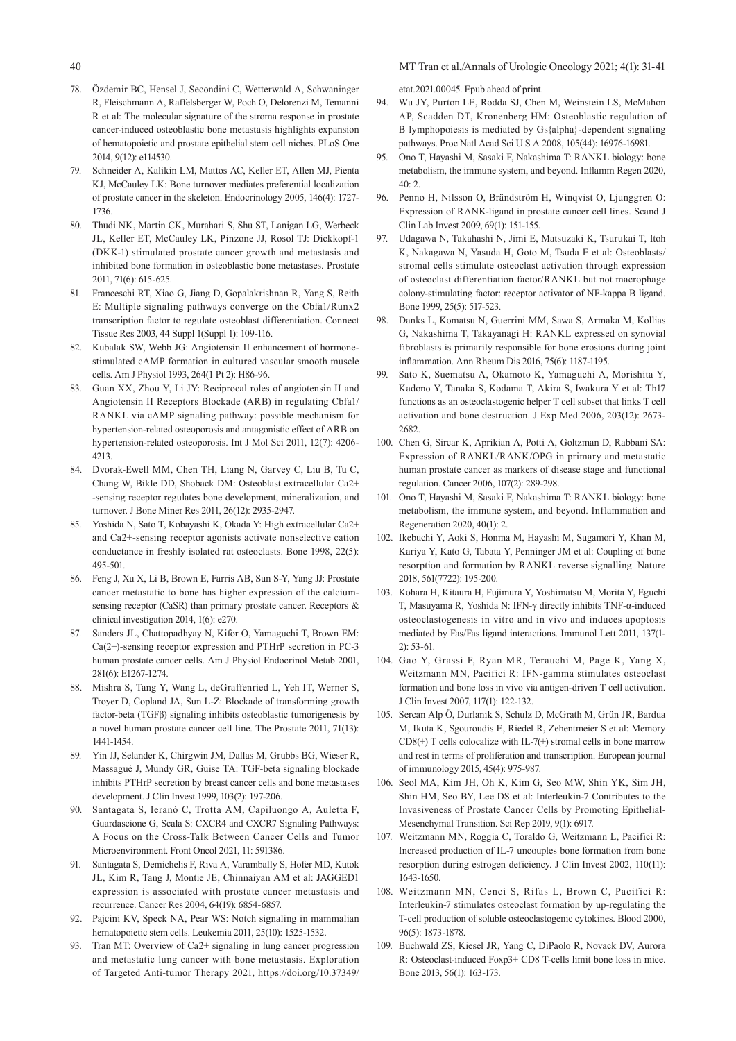40 MT Tran et al./Annals of Urologic Oncology 2021; 4(1): 31-41

- 78. Özdemir BC, Hensel J, Secondini C, Wetterwald A, Schwaninger R, Fleischmann A, Raffelsberger W, Poch O, Delorenzi M, Temanni R et al: The molecular signature of the stroma response in prostate cancer-induced osteoblastic bone metastasis highlights expansion of hematopoietic and prostate epithelial stem cell niches. PLoS One 2014, 9(12): e114530.
- 79. Schneider A, Kalikin LM, Mattos AC, Keller ET, Allen MJ, Pienta KJ, McCauley LK: Bone turnover mediates preferential localization of prostate cancer in the skeleton. Endocrinology 2005, 146(4): 1727- 1736.
- 80. Thudi NK, Martin CK, Murahari S, Shu ST, Lanigan LG, Werbeck JL, Keller ET, McCauley LK, Pinzone JJ, Rosol TJ: Dickkopf-1 (DKK-1) stimulated prostate cancer growth and metastasis and inhibited bone formation in osteoblastic bone metastases. Prostate 2011, 71(6): 615-625.
- 81. Franceschi RT, Xiao G, Jiang D, Gopalakrishnan R, Yang S, Reith E: Multiple signaling pathways converge on the Cbfa1/Runx2 transcription factor to regulate osteoblast differentiation. Connect Tissue Res 2003, 44 Suppl 1(Suppl 1): 109-116.
- 82. Kubalak SW, Webb JG: Angiotensin II enhancement of hormonestimulated cAMP formation in cultured vascular smooth muscle cells. Am J Physiol 1993, 264(1 Pt 2): H86-96.
- 83. Guan XX, Zhou Y, Li JY: Reciprocal roles of angiotensin II and Angiotensin II Receptors Blockade (ARB) in regulating Cbfa1/ RANKL via cAMP signaling pathway: possible mechanism for hypertension-related osteoporosis and antagonistic effect of ARB on hypertension-related osteoporosis. Int J Mol Sci 2011, 12(7): 4206- 4213.
- 84. Dvorak-Ewell MM, Chen TH, Liang N, Garvey C, Liu B, Tu C, Chang W, Bikle DD, Shoback DM: Osteoblast extracellular Ca2+ -sensing receptor regulates bone development, mineralization, and turnover. J Bone Miner Res 2011, 26(12): 2935-2947.
- 85. Yoshida N, Sato T, Kobayashi K, Okada Y: High extracellular Ca2+ and Ca2+-sensing receptor agonists activate nonselective cation conductance in freshly isolated rat osteoclasts. Bone 1998, 22(5): 495-501.
- 86. Feng J, Xu X, Li B, Brown E, Farris AB, Sun S-Y, Yang JJ: Prostate cancer metastatic to bone has higher expression of the calciumsensing receptor (CaSR) than primary prostate cancer. Receptors & clinical investigation 2014, 1(6): e270.
- 87. Sanders JL, Chattopadhyay N, Kifor O, Yamaguchi T, Brown EM: Ca(2+)-sensing receptor expression and PTHrP secretion in PC-3 human prostate cancer cells. Am J Physiol Endocrinol Metab 2001, 281(6): E1267-1274.
- 88. Mishra S, Tang Y, Wang L, deGraffenried L, Yeh IT, Werner S, Troyer D, Copland JA, Sun L-Z: Blockade of transforming growth factor-beta (TGFβ) signaling inhibits osteoblastic tumorigenesis by a novel human prostate cancer cell line. The Prostate 2011, 71(13): 1441-1454.
- 89. Yin JJ, Selander K, Chirgwin JM, Dallas M, Grubbs BG, Wieser R, Massagué J, Mundy GR, Guise TA: TGF-beta signaling blockade inhibits PTHrP secretion by breast cancer cells and bone metastases development. J Clin Invest 1999, 103(2): 197-206.
- 90. Santagata S, Ieranò C, Trotta AM, Capiluongo A, Auletta F, Guardascione G, Scala S: CXCR4 and CXCR7 Signaling Pathways: A Focus on the Cross-Talk Between Cancer Cells and Tumor Microenvironment. Front Oncol 2021, 11: 591386.
- 91. Santagata S, Demichelis F, Riva A, Varambally S, Hofer MD, Kutok JL, Kim R, Tang J, Montie JE, Chinnaiyan AM et al: JAGGED1 expression is associated with prostate cancer metastasis and recurrence. Cancer Res 2004, 64(19): 6854-6857.
- 92. Pajcini KV, Speck NA, Pear WS: Notch signaling in mammalian hematopoietic stem cells. Leukemia 2011, 25(10): 1525-1532.
- 93. Tran MT: Overview of Ca2+ signaling in lung cancer progression and metastatic lung cancer with bone metastasis. Exploration of Targeted Anti-tumor Therapy 2021, https://doi.org/10.37349/

etat.2021.00045. Epub ahead of print.

- 94. Wu JY, Purton LE, Rodda SJ, Chen M, Weinstein LS, McMahon AP, Scadden DT, Kronenberg HM: Osteoblastic regulation of B lymphopoiesis is mediated by Gs{alpha}-dependent signaling pathways. Proc Natl Acad Sci U S A 2008, 105(44): 16976-16981.
- 95. Ono T, Hayashi M, Sasaki F, Nakashima T: RANKL biology: bone metabolism, the immune system, and beyond. Inflamm Regen 2020,  $40 \cdot 2$
- 96. Penno H, Nilsson O, Brändström H, Winqvist O, Ljunggren O: Expression of RANK-ligand in prostate cancer cell lines. Scand J Clin Lab Invest 2009, 69(1): 151-155.
- 97. Udagawa N, Takahashi N, Jimi E, Matsuzaki K, Tsurukai T, Itoh K, Nakagawa N, Yasuda H, Goto M, Tsuda E et al: Osteoblasts/ stromal cells stimulate osteoclast activation through expression of osteoclast differentiation factor/RANKL but not macrophage colony-stimulating factor: receptor activator of NF-kappa B ligand. Bone 1999, 25(5): 517-523.
- 98. Danks L, Komatsu N, Guerrini MM, Sawa S, Armaka M, Kollias G, Nakashima T, Takayanagi H: RANKL expressed on synovial fibroblasts is primarily responsible for bone erosions during joint inflammation. Ann Rheum Dis 2016, 75(6): 1187-1195.
- 99. Sato K, Suematsu A, Okamoto K, Yamaguchi A, Morishita Y, Kadono Y, Tanaka S, Kodama T, Akira S, Iwakura Y et al: Th17 functions as an osteoclastogenic helper T cell subset that links T cell activation and bone destruction. J Exp Med 2006, 203(12): 2673- 2682.
- 100. Chen G, Sircar K, Aprikian A, Potti A, Goltzman D, Rabbani SA: Expression of RANKL/RANK/OPG in primary and metastatic human prostate cancer as markers of disease stage and functional regulation. Cancer 2006, 107(2): 289-298.
- 101. Ono T, Hayashi M, Sasaki F, Nakashima T: RANKL biology: bone metabolism, the immune system, and beyond. Inflammation and Regeneration 2020, 40(1): 2.
- 102. Ikebuchi Y, Aoki S, Honma M, Hayashi M, Sugamori Y, Khan M, Kariya Y, Kato G, Tabata Y, Penninger JM et al: Coupling of bone resorption and formation by RANKL reverse signalling. Nature 2018, 561(7722): 195-200.
- 103. Kohara H, Kitaura H, Fujimura Y, Yoshimatsu M, Morita Y, Eguchi T, Masuyama R, Yoshida N: IFN-γ directly inhibits TNF-α-induced osteoclastogenesis in vitro and in vivo and induces apoptosis mediated by Fas/Fas ligand interactions. Immunol Lett 2011, 137(1- 2): 53-61.
- 104. Gao Y, Grassi F, Ryan MR, Terauchi M, Page K, Yang X, Weitzmann MN, Pacifici R: IFN-gamma stimulates osteoclast formation and bone loss in vivo via antigen-driven T cell activation. J Clin Invest 2007, 117(1): 122-132.
- 105. Sercan Alp Ö, Durlanik S, Schulz D, McGrath M, Grün JR, Bardua M, Ikuta K, Sgouroudis E, Riedel R, Zehentmeier S et al: Memory CD8(+) T cells colocalize with IL-7(+) stromal cells in bone marrow and rest in terms of proliferation and transcription. European journal of immunology 2015, 45(4): 975-987.
- 106. Seol MA, Kim JH, Oh K, Kim G, Seo MW, Shin YK, Sim JH, Shin HM, Seo BY, Lee DS et al: Interleukin-7 Contributes to the Invasiveness of Prostate Cancer Cells by Promoting Epithelial-Mesenchymal Transition. Sci Rep 2019, 9(1): 6917.
- 107. Weitzmann MN, Roggia C, Toraldo G, Weitzmann L, Pacifici R: Increased production of IL-7 uncouples bone formation from bone resorption during estrogen deficiency. J Clin Invest 2002, 110(11): 1643-1650.
- 108. Weitzmann MN, Cenci S, Rifas L, Brown C, Pacifici R: Interleukin-7 stimulates osteoclast formation by up-regulating the T-cell production of soluble osteoclastogenic cytokines. Blood 2000, 96(5): 1873-1878.
- 109. Buchwald ZS, Kiesel JR, Yang C, DiPaolo R, Novack DV, Aurora R: Osteoclast-induced Foxp3+ CD8 T-cells limit bone loss in mice. Bone 2013, 56(1): 163-173.